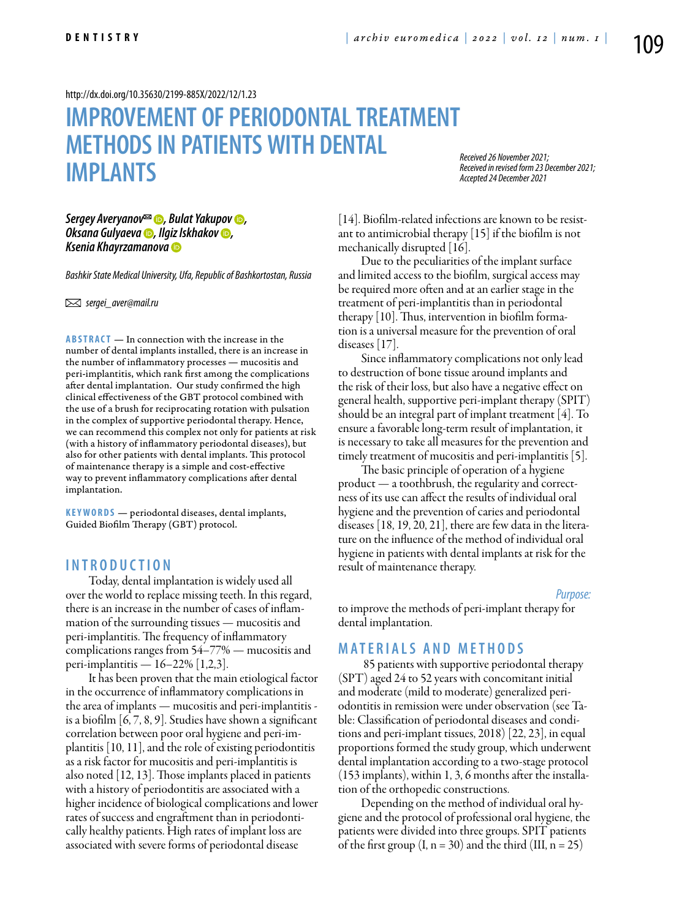<http://dx.doi.org/10.35630/2199-885X/2022/12/1.23>

# **IMPROVEMENT OF PERIODONTALTREATMENT METHODSIN PATIENTSWITH DENTAL IMPLANTS**

*Received 26 November 2021; Received in revised form 23 December 2021; Accepted 24 December 2021*

### *[Sergey Averyanov](https://orcid.org/0000-0003-1827-1629)*<sup>⊠</sup> *●, [Bulat Yakupov](https://orcid.org/0000-0001-5470-3789)* ●, **[Oksana Gulyaeva](https://orcid.org/0000-0001-6377-4589) <b>D**, [Ilgiz Iskhakov](https://orcid.org/0000-0002-6177-0573) **D**, *[Ksenia Khayrzamanova](https://orcid.org/0000-0002-4792-7132)*

*Bashkir State Medical University, Ufa, Republic of Bashkortostan, Russia* 

 *sergei\_aver@mail.ru* 

**ABSTRACT** — In connection with the increase in the number of dental implants installed, there is an increase in the number of inflammatory processes — mucositis and peri-implantitis, which rank first among the complications after dental implantation. Our study confirmed the high clinical effectiveness of the GBT protocol combined with the use of a brush for reciprocating rotation with pulsation in the complex of supportive periodontal therapy. Hence, we can recommend this complex not only for patients at risk (with a history of inflammatory periodontal diseases), but also for other patients with dental implants. This protocol of maintenance therapy is a simple and cost-effective way to prevent inflammatory complications after dental implantation.

KEYWORDS — periodontal diseases, dental implants, Guided Biofilm Therapy (GBT) protocol.

## **I n t r o d u ct i o n**

Today, dental implantation is widely used all over the world to replace missing teeth. In this regard, there is an increase in the number of cases of inflammation of the surrounding tissues — mucositis and peri-implantitis. The frequency of inflammatory complications ranges from 54–77% — mucositis and peri-implantitis — 16–22% [1,2,3].

It has been proven that the main etiological factor in the occurrence of inflammatory complications in the area of implants — mucositis and peri-implantitis is a biofilm [6, 7, 8, 9]. Studies have shown a significant correlation between poor oral hygiene and peri-implantitis [10, 11], and the role of existing periodontitis as a risk factor for mucositis and peri-implantitis is also noted [12, 13]. Those implants placed in patients with a history of periodontitis are associated with a higher incidence of biological complications and lower rates of success and engraftment than in periodontically healthy patients. High rates of implant loss are associated with severe forms of periodontal disease

[14]. Biofilm-related infections are known to be resistant to antimicrobial therapy [15] if the biofilm is not mechanically disrupted [16].

Due to the peculiarities of the implant surface and limited access to the biofilm, surgical access may be required more often and at an earlier stage in the treatment of peri-implantitis than in periodontal therapy [10]. Thus, intervention in biofilm formation is a universal measure for the prevention of oral diseases [17].

Since inflammatory complications not only lead to destruction of bone tissue around implants and the risk of their loss, but also have a negative effect on general health, supportive peri-implant therapy (SPIT) should be an integral part of implant treatment [4]. To ensure a favorable long-term result of implantation, it is necessary to take all measures for the prevention and timely treatment of mucositis and peri-implantitis [5].

The basic principle of operation of a hygiene product — a toothbrush, the regularity and correctness of its use can affect the results of individual oral hygiene and the prevention of caries and periodontal diseases [18, 19, 20, 21], there are few data in the literature on the influence of the method of individual oral hygiene in patients with dental implants at risk for the result of maintenance therapy.

*Purpose:*

to improve the methods of peri-implant therapy for dental implantation.

# **MATERIALS AND METHODS**

 85 patients with supportive periodontal therapy (SPT) aged 24 to 52 years with concomitant initial and moderate (mild to moderate) generalized periodontitis in remission were under observation (see Table: Classification of periodontal diseases and conditions and peri-implant tissues, 2018) [22, 23], in equal proportions formed the study group, which underwent dental implantation according to a two-stage protocol (153 implants), within 1, 3, 6 months after the installation of the orthopedic constructions.

Depending on the method of individual oral hygiene and the protocol of professional oral hygiene, the patients were divided into three groups. SPIT patients of the first group  $(I, n = 30)$  and the third  $(III, n = 25)$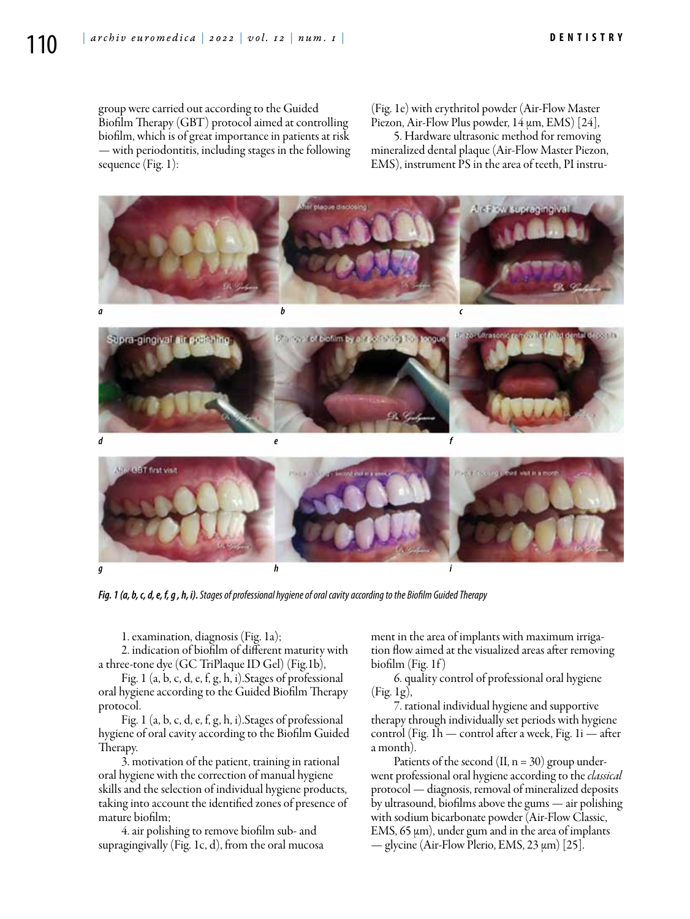group were carried out according to the Guided Biofilm Therapy (GBT) protocol aimed at controlling biofilm, which is of great importance in patients at risk — with periodontitis, including stages in the following sequence (Fig. 1):

(Fig. 1e) with erythritol powder (Air-Flow Master Piezon, Air-Flow Plus powder, 14 μm, EMS) [24],

5. Hardware ultrasonic method for removing mineralized dental plaque (Air-Flow Master Piezon, EMS), instrument PS in the area of teeth, PI instru-



*Fig. 1 (a, b,c, d,e, f, g , h, i). Stages of professional hygiene of oral cavity according to the Biofilm Guided Therapy*

1. examination, diagnosis (Fig. 1a);

2. indication of biofilm of different maturity with a three-tone dye (GC TriPlaque ID Gel) (Fig.1b),

Fig. 1 (a, b, c, d, e, f, g, h, i).Stages of professional oral hygiene according to the Guided Biofilm Therapy protocol.

Fig. 1 (a, b, c, d, e, f, g, h, i).Stages of professional hygiene of oral cavity according to the Biofilm Guided Therapy.

3. motivation of the patient, training in rational oral hygiene with the correction of manual hygiene skills and the selection of individual hygiene products, taking into account the identified zones of presence of mature biofilm;

4. air polishing to remove biofilm sub- and supragingivally (Fig. 1c, d), from the oral mucosa ment in the area of implants with maximum irrigation flow aimed at the visualized areas after removing  $\text{biofilm}$  (Fig. 1f)

6. quality control of professional oral hygiene (Fig. 1g),

7. rational individual hygiene and supportive therapy through individually set periods with hygiene control (Fig. 1h — control after a week, Fig. 1i — after a month).

Patients of the second  $(II, n = 30)$  group underwent professional oral hygiene according to the *classical* protocol — diagnosis, removal of mineralized deposits by ultrasound, biofilms above the gums — air polishing with sodium bicarbonate powder (Air-Flow Classic, EMS, 65 μm), under gum and in the area of implants — glycine (Air-Flow Plerio, EMS, 23 μm) [25].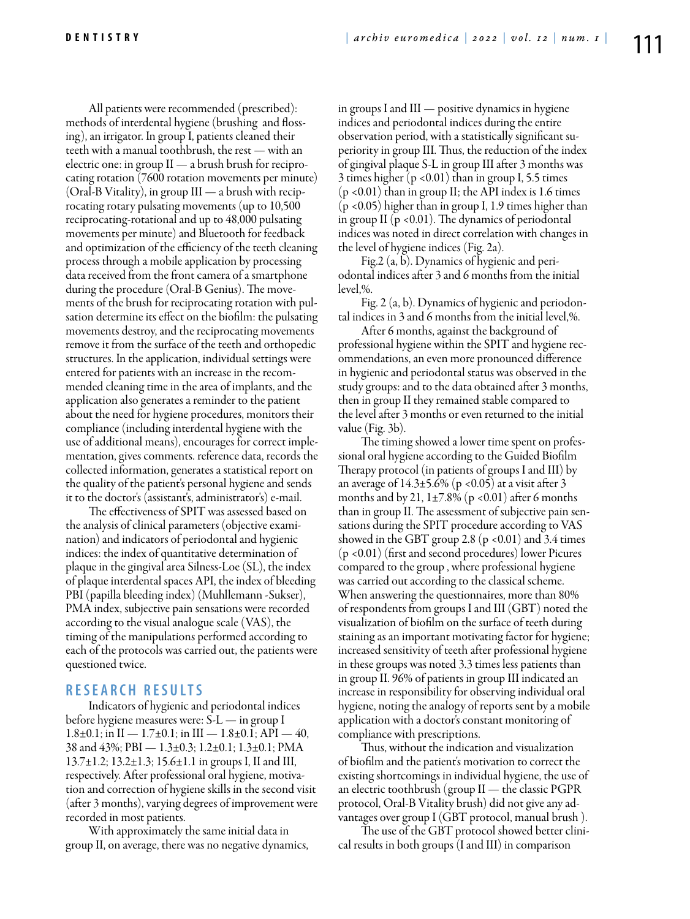All patients were recommended (prescribed): methods of interdental hygiene (brushing and flossing), an irrigator. In group I, patients cleaned their teeth with a manual toothbrush, the rest — with an electric one: in group  $II - a$  brush brush for reciprocating rotation (7600 rotation movements per minute)  $(Oral-B Vitality)$ , in group  $III \rightarrow a$  brush with reciprocating rotary pulsating movements (up to 10,500 reciprocating-rotational and up to 48,000 pulsating movements per minute) and Bluetooth for feedback and optimization of the efficiency of the teeth cleaning process through a mobile application by processing data received from the front camera of a smartphone during the procedure (Oral-B Genius). The movements of the brush for reciprocating rotation with pulsation determine its effect on the biofilm: the pulsating movements destroy, and the reciprocating movements remove it from the surface of the teeth and orthopedic structures. In the application, individual settings were entered for patients with an increase in the recommended cleaning time in the area of implants, and the application also generates a reminder to the patient about the need for hygiene procedures, monitors their compliance (including interdental hygiene with the use of additional means), encourages for correct implementation, gives comments. reference data, records the collected information, generates a statistical report on the quality of the patient's personal hygiene and sends it to the doctor's (assistant's, administrator's) e-mail.

The effectiveness of SPIT was assessed based on the analysis of clinical parameters (objective examination) and indicators of periodontal and hygienic indices: the index of quantitative determination of plaque in the gingival area Silness-Loe (SL), the index of plaque interdental spaces API, the index of bleeding PBI (papilla bleeding index) (Muhllemann -Sukser), PMA index, subjective pain sensations were recorded according to the visual analogue scale (VAS), the timing of the manipulations performed according to each of the protocols was carried out, the patients were questioned twice.

# **R e s e a r c h R e s u l t s**

Indicators of hygienic and periodontal indices before hygiene measures were: S-L — in group I 1.8 $\pm$ 0.1; in II — 1.7 $\pm$ 0.1; in III — 1.8 $\pm$ 0.1; API — 40, 38 and 43%; PBI — 1.3±0.3; 1.2±0.1; 1.3±0.1; PMA 13.7±1.2; 13.2±1.3; 15.6±1.1 in groups I, II and III, respectively. After professional oral hygiene, motivation and correction of hygiene skills in the second visit (after 3 months), varying degrees of improvement were recorded in most patients.

With approximately the same initial data in group II, on average, there was no negative dynamics, in groups I and III — positive dynamics in hygiene indices and periodontal indices during the entire observation period, with a statistically significant superiority in group III. Thus, the reduction of the index of gingival plaque S-L in group III after 3 months was 3 times higher  $(p \le 0.01)$  than in group I, 5.5 times (p <0.01) than in group II; the API index is 1.6 times (p <0.05) higher than in group I, 1.9 times higher than in group II ( $p$  <0.01). The dynamics of periodontal indices was noted in direct correlation with changes in the level of hygiene indices (Fig. 2a).

Fig.2 (a, b). Dynamics of hygienic and periodontal indices after 3 and 6 months from the initial level,%.

Fig. 2 (a, b). Dynamics of hygienic and periodontal indices in 3 and 6 months from the initial level,%.

After 6 months, against the background of professional hygiene within the SPIT and hygiene recommendations, an even more pronounced difference in hygienic and periodontal status was observed in the study groups: and to the data obtained after 3 months, then in group II they remained stable compared to the level after 3 months or even returned to the initial value (Fig. 3b).

The timing showed a lower time spent on professional oral hygiene according to the Guided Biofilm Therapy protocol (in patients of groups I and III) by an average of  $14.3\pm5.6\%$  (p <0.05) at a visit after 3 months and by 21,  $1\pm7.8\%$  (p <0.01) after 6 months than in group II. The assessment of subjective pain sensations during the SPIT procedure according to VAS showed in the GBT group 2.8 ( $p$  <0.01) and 3.4 times (p <0.01) (first and second procedures) lower Picures compared to the group , where professional hygiene was carried out according to the classical scheme. When answering the questionnaires, more than 80% of respondents from groups I and III (GBT) noted the visualization of biofilm on the surface of teeth during staining as an important motivating factor for hygiene; increased sensitivity of teeth after professional hygiene in these groups was noted 3.3 times less patients than in group II. 96% of patients in group III indicated an increase in responsibility for observing individual oral hygiene, noting the analogy of reports sent by a mobile application with a doctor's constant monitoring of compliance with prescriptions.

Thus, without the indication and visualization of biofilm and the patient's motivation to correct the existing shortcomings in individual hygiene, the use of an electric toothbrush (group II — the classic PGPR protocol, Oral-B Vitality brush) did not give any advantages over group I (GBT protocol, manual brush ).

The use of the GBT protocol showed better clinical results in both groups (I and III) in comparison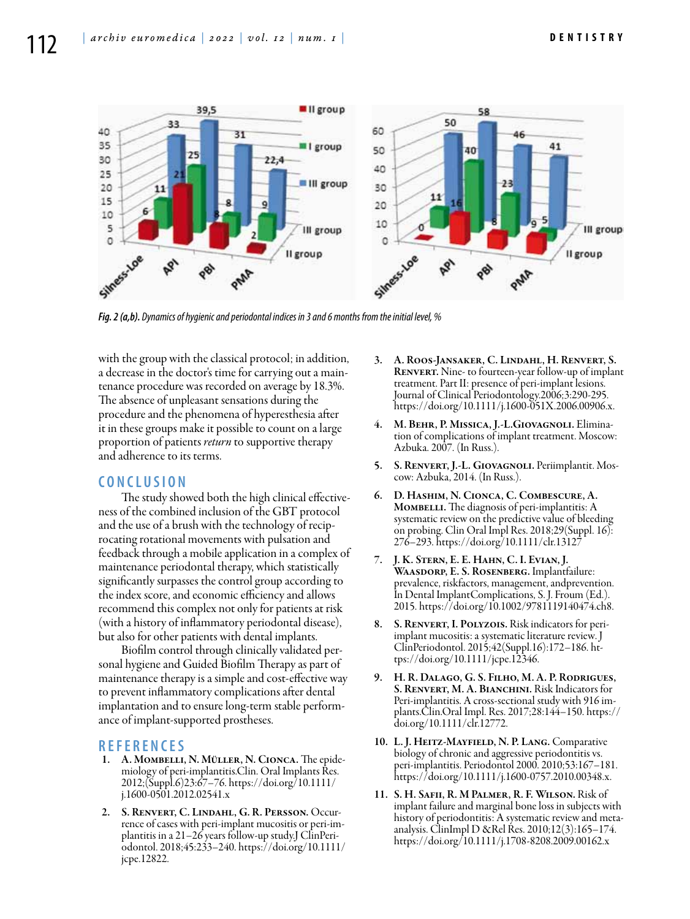

*Fig. 2 (a,b). Dynamics of hygienic and periodontal indices in 3 and 6 months from the initial level, %*

with the group with the classical protocol; in addition, a decrease in the doctor's time for carrying out a maintenance procedure was recorded on average by 18.3%. The absence of unpleasant sensations during the procedure and the phenomena of hyperesthesia after it in these groups make it possible to count on a large proportion of patients *return* to supportive therapy and adherence to its terms.

#### **C o n cl u s i o n**

The study showed both the high clinical effectiveness of the combined inclusion of the GBT protocol and the use of a brush with the technology of reciprocating rotational movements with pulsation and feedback through a mobile application in a complex of maintenance periodontal therapy, which statistically significantly surpasses the control group according to the index score, and economic efficiency and allows recommend this complex not only for patients at risk (with a history of inflammatory periodontal disease), but also for other patients with dental implants.

Biofilm control through clinically validated personal hygiene and Guided Biofilm Therapy as part of maintenance therapy is a simple and cost-effective way to prevent inflammatory complications after dental implantation and to ensure long-term stable performance of implant-supported prostheses.

#### **R e f e r e n ce s**

- 1. A. Mombelli, N. Müller, N. Cionca. The epidemiology of peri-implantitis.Clin. Oral Implants Res. 2012;(Suppl.6)23:67–76. https://doi.org/10.1111/ j.1600-0501.2012.02541.x
- 2. S. Renvert, C. Lindahl, G. R. Persson. Occurrence of cases with peri-implant mucositis or peri-implantitis in a 21–26 years follow-up study.J ClinPeriodontol. 2018;45:233–240. https://doi.org/10.1111/ jcpe.12822.
- 3. A. Roos-Jansаker, C. Lindahl, H. Renvert, S. RENVERT. Nine- to fourteen-year follow-up of implant treatment. Part II: presence of peri-implant lesions. Journal of Clinical Periodontology.2006;3:290-295. https://doi.org/10.1111/j.1600-051X.2006.00906.x.
- M. BEHR, P. MISSICA, J.-L.GIOVAGNOLI. Elimination of complications of implant treatment. Moscow: Azbuka. 2007. (In Russ.).
- 5. S. Renvert, J.-L. Giovagnoli. Periimplantit. Mos- cow: Azbuka, 2014. (In Russ.).
- 6. D. Hashim, N. Cionca, C. Combescure, A. MOMBELLI. The diagnosis of peri-implantitis: A systematic review on the predictive value of bleeding on probing. Clin Oral Impl Res. 2018;29(Suppl. 16): 276–293. https://doi.org/10.1111/clr.13127
- 7. J. K. Stern, E. E. Hahn, C. I. Evian, J. WAASDORP, E. S. ROSENBERG. Implantfailure: prevalence, riskfactors, management, andprevention. In Dental ImplantComplications, S. J. Froum (Ed.). 2015. https://doi.org/10.1002/9781119140474.ch8.
- 8. S. RENVERT, I. POLYZOIS. Risk indicators for periimplant mucositis: a systematic literature review. J ClinPeriodontol. 2015;42(Suppl.16):172–186. https://doi.org/10.1111/jcpe.12346.
- 9. H. R. Dalago, G. S. Filho, M. A. P. Rodrigues, S. RENVERT, M. A. BIANCHINI. Risk Indicators for Peri-implantitis. A cross-sectional study with 916 implants.Clin.Oral Impl. Res. 2017;28:144–150. https:// doi.org/10.1111/clr.12772.
- 10. L. J. HEITZ-MAYFIELD, N. P. LANG. Comparative biology of chronic and aggressive periodontitis vs. peri-implantitis. Periodontol 2000. 2010;53:167–181. https://doi.org/10.1111/j.1600-0757.2010.00348.x.
- 11. S. H. Safii, R. M Palmer, R. F. Wilson. Risk of implant failure and marginal bone loss in subjects with history of periodontitis: A systematic review and metaanalysis. ClinImpl D &Rel Res. 2010;12(3):165–174. https://doi.org/10.1111/j.1708-8208.2009.00162.x